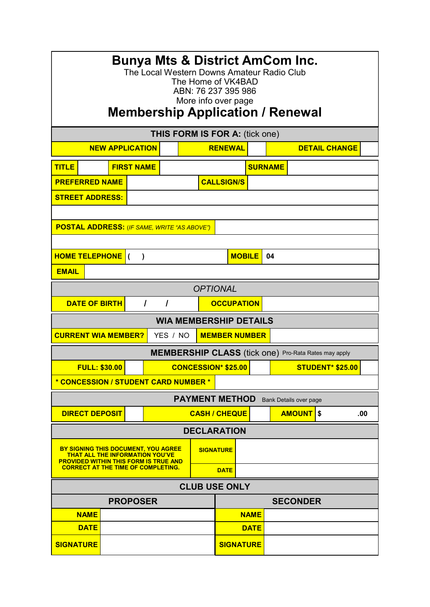| <b>Bunya Mts &amp; District AmCom Inc.</b><br>The Local Western Downs Amateur Radio Club<br>The Home of VK4BAD<br>ABN: 76 237 395 986<br>More info over page<br><b>Membership Application / Renewal</b> |  |  |                                                             |  |                     |                  |  |                 |                         |     |
|---------------------------------------------------------------------------------------------------------------------------------------------------------------------------------------------------------|--|--|-------------------------------------------------------------|--|---------------------|------------------|--|-----------------|-------------------------|-----|
|                                                                                                                                                                                                         |  |  |                                                             |  |                     |                  |  |                 |                         |     |
| THIS FORM IS FOR A: (tick one)<br><b>RENEWAL</b><br><b>NEW APPLICATION</b><br><b>DETAIL CHANGE</b>                                                                                                      |  |  |                                                             |  |                     |                  |  |                 |                         |     |
|                                                                                                                                                                                                         |  |  |                                                             |  |                     |                  |  |                 |                         |     |
| <b>TITLE</b><br><b>FIRST NAME</b>                                                                                                                                                                       |  |  |                                                             |  |                     | <b>SURNAME</b>   |  |                 |                         |     |
| <b>PREFERRED NAME</b>                                                                                                                                                                                   |  |  | <b>CALLSIGN/S</b>                                           |  |                     |                  |  |                 |                         |     |
| <b>STREET ADDRESS:</b>                                                                                                                                                                                  |  |  |                                                             |  |                     |                  |  |                 |                         |     |
|                                                                                                                                                                                                         |  |  |                                                             |  |                     |                  |  |                 |                         |     |
| <b>POSTAL ADDRESS:</b> (IF SAME, WRITE "AS ABOVE")                                                                                                                                                      |  |  |                                                             |  |                     |                  |  |                 |                         |     |
| <b>HOME TELEPHONE</b><br>$\lambda$<br>$\epsilon$                                                                                                                                                        |  |  |                                                             |  | <b>MOBILE</b><br>04 |                  |  |                 |                         |     |
| <b>EMAIL</b>                                                                                                                                                                                            |  |  |                                                             |  |                     |                  |  |                 |                         |     |
|                                                                                                                                                                                                         |  |  |                                                             |  |                     |                  |  |                 |                         |     |
| <b>OPTIONAL</b>                                                                                                                                                                                         |  |  |                                                             |  |                     |                  |  |                 |                         |     |
| <b>DATE OF BIRTH</b><br>$\prime$<br>$\overline{I}$<br><b>OCCUPATION</b>                                                                                                                                 |  |  |                                                             |  |                     |                  |  |                 |                         |     |
| <b>WIA MEMBERSHIP DETAILS</b>                                                                                                                                                                           |  |  |                                                             |  |                     |                  |  |                 |                         |     |
| <b>CURRENT WIA MEMBER?</b><br><b>MEMBER NUMBER</b><br>YES / NO                                                                                                                                          |  |  |                                                             |  |                     |                  |  |                 |                         |     |
|                                                                                                                                                                                                         |  |  | <b>MEMBERSHIP CLASS</b> (tick one) Pro-Rata Rates may apply |  |                     |                  |  |                 |                         |     |
| <b>FULL: \$30.00</b>                                                                                                                                                                                    |  |  | <b>CONCESSION* \$25.00</b>                                  |  |                     |                  |  |                 | <b>STUDENT* \$25.00</b> |     |
| * CONCESSION / STUDENT CARD NUMBER *                                                                                                                                                                    |  |  |                                                             |  |                     |                  |  |                 |                         |     |
| <b>PAYMENT METHOD</b><br>Bank Details over page                                                                                                                                                         |  |  |                                                             |  |                     |                  |  |                 |                         |     |
| <b>DIRECT DEPOSIT</b>                                                                                                                                                                                   |  |  | <b>CASH / CHEQUE</b>                                        |  |                     |                  |  | <b>AMOUNT</b>   | \$                      | .00 |
| <b>DECLARATION</b>                                                                                                                                                                                      |  |  |                                                             |  |                     |                  |  |                 |                         |     |
| BY SIGNING THIS DOCUMENT, YOU AGREE<br><b>THAT ALL THE INFORMATION YOU'VE</b><br><b>PROVIDED WITHIN THIS FORM IS TRUE AND</b>                                                                           |  |  |                                                             |  | <b>SIGNATURE</b>    |                  |  |                 |                         |     |
| <b>CORRECT AT THE TIME OF COMPLETING.</b><br><b>DATE</b>                                                                                                                                                |  |  |                                                             |  |                     |                  |  |                 |                         |     |
| <b>CLUB USE ONLY</b>                                                                                                                                                                                    |  |  |                                                             |  |                     |                  |  |                 |                         |     |
| <b>PROPOSER</b>                                                                                                                                                                                         |  |  |                                                             |  |                     |                  |  | <b>SECONDER</b> |                         |     |
| <b>NAME</b>                                                                                                                                                                                             |  |  |                                                             |  |                     | <b>NAME</b>      |  |                 |                         |     |
| <b>DATE</b>                                                                                                                                                                                             |  |  |                                                             |  |                     | <b>DATE</b>      |  |                 |                         |     |
| <b>SIGNATURE</b>                                                                                                                                                                                        |  |  |                                                             |  |                     | <b>SIGNATURE</b> |  |                 |                         |     |